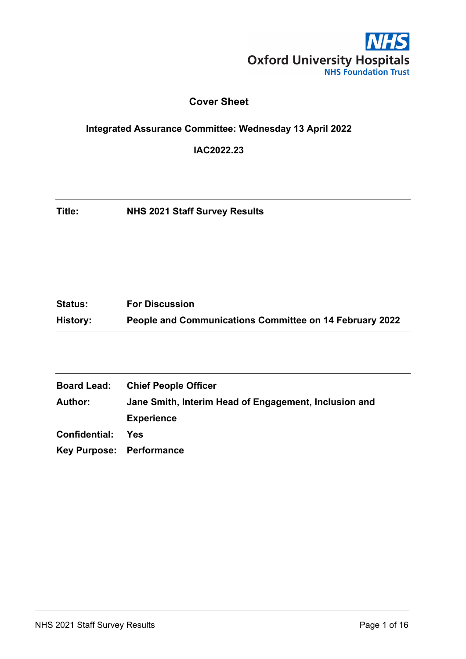

# **Cover Sheet**

# <span id="page-0-0"></span>**Integrated Assurance Committee: Wednesday 13 April 2022**

**IAC2022.23**

**Title: NHS 2021 Staff Survey Results**

| <b>Status:</b> | <b>For Discussion</b>                                   |
|----------------|---------------------------------------------------------|
| History:       | People and Communications Committee on 14 February 2022 |

| <b>Board Lead:</b>       | <b>Chief People Officer</b>                           |
|--------------------------|-------------------------------------------------------|
| <b>Author:</b>           | Jane Smith, Interim Head of Engagement, Inclusion and |
|                          | <b>Experience</b>                                     |
| Confidential:            | Yes                                                   |
| Key Purpose: Performance |                                                       |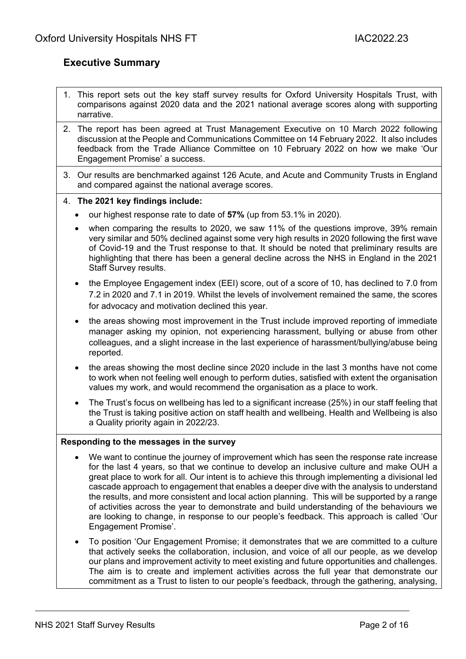## <span id="page-1-0"></span>**Executive Summary**

- 1. This report sets out the key staff survey results for Oxford University Hospitals Trust, with comparisons against 2020 data and the 2021 national average scores along with supporting narrative.
- 2. The report has been agreed at Trust Management Executive on 10 March 2022 following discussion at the People and Communications Committee on 14 February 2022. It also includes feedback from the Trade Alliance Committee on 10 February 2022 on how we make 'Our Engagement Promise' a success.
- 3. Our results are benchmarked against 126 Acute, and Acute and Community Trusts in England and compared against the national average scores.

#### 4. **The 2021 key findings include:**

- our highest response rate to date of **57%** (up from 53.1% in 2020).
- when comparing the results to 2020, we saw 11% of the questions improve, 39% remain very similar and 50% declined against some very high results in 2020 following the first wave of Covid-19 and the Trust response to that. It should be noted that preliminary results are highlighting that there has been a general decline across the NHS in England in the 2021 Staff Survey results.
- the Employee Engagement index (EEI) score, out of a score of 10, has declined to 7.0 from 7.2 in 2020 and 7.1 in 2019. Whilst the levels of involvement remained the same, the scores for advocacy and motivation declined this year.
- the areas showing most improvement in the Trust include improved reporting of immediate manager asking my opinion, not experiencing harassment, bullying or abuse from other colleagues, and a slight increase in the last experience of harassment/bullying/abuse being reported.
- the areas showing the most decline since 2020 include in the last 3 months have not come to work when not feeling well enough to perform duties, satisfied with extent the organisation values my work, and would recommend the organisation as a place to work.
- The Trust's focus on wellbeing has led to a significant increase (25%) in our staff feeling that the Trust is taking positive action on staff health and wellbeing. Health and Wellbeing is also a Quality priority again in 2022/23.

#### **Responding to the messages in the survey**

- We want to continue the journey of improvement which has seen the response rate increase for the last 4 years, so that we continue to develop an inclusive culture and make OUH a great place to work for all. Our intent is to achieve this through implementing a divisional led cascade approach to engagement that enables a deeper dive with the analysis to understand the results, and more consistent and local action planning. This will be supported by a range of activities across the year to demonstrate and build understanding of the behaviours we are looking to change, in response to our people's feedback. This approach is called 'Our Engagement Promise'.
- To position 'Our Engagement Promise; it demonstrates that we are committed to a culture that actively seeks the collaboration, inclusion, and voice of all our people, as we develop our plans and improvement activity to meet existing and future opportunities and challenges. The aim is to create and implement activities across the full year that demonstrate our commitment as a Trust to listen to our people's feedback, through the gathering, analysing,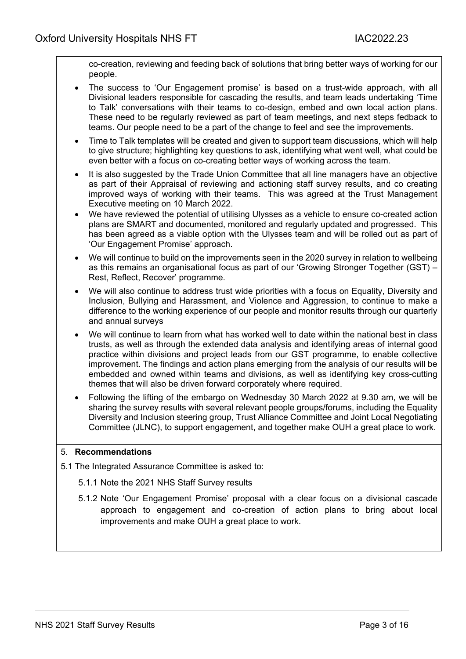co-creation, reviewing and feeding back of solutions that bring better ways of working for our people.

- The success to 'Our Engagement promise' is based on a trust-wide approach, with all Divisional leaders responsible for cascading the results, and team leads undertaking 'Time to Talk' conversations with their teams to co-design, embed and own local action plans. These need to be regularly reviewed as part of team meetings, and next steps fedback to teams. Our people need to be a part of the change to feel and see the improvements.
- Time to Talk templates will be created and given to support team discussions, which will help to give structure; highlighting key questions to ask, identifying what went well, what could be even better with a focus on co-creating better ways of working across the team.
- It is also suggested by the Trade Union Committee that all line managers have an objective as part of their Appraisal of reviewing and actioning staff survey results, and co creating improved ways of working with their teams. This was agreed at the Trust Management Executive meeting on 10 March 2022.
- We have reviewed the potential of utilising Ulysses as a vehicle to ensure co-created action plans are SMART and documented, monitored and regularly updated and progressed. This has been agreed as a viable option with the Ulysses team and will be rolled out as part of 'Our Engagement Promise' approach.
- We will continue to build on the improvements seen in the 2020 survey in relation to wellbeing as this remains an organisational focus as part of our 'Growing Stronger Together (GST) – Rest, Reflect, Recover' programme.
- We will also continue to address trust wide priorities with a focus on Equality, Diversity and Inclusion, Bullying and Harassment, and Violence and Aggression, to continue to make a difference to the working experience of our people and monitor results through our quarterly and annual surveys
- We will continue to learn from what has worked well to date within the national best in class trusts, as well as through the extended data analysis and identifying areas of internal good practice within divisions and project leads from our GST programme, to enable collective improvement. The findings and action plans emerging from the analysis of our results will be embedded and owned within teams and divisions, as well as identifying key cross-cutting themes that will also be driven forward corporately where required.
- Following the lifting of the embargo on Wednesday 30 March 2022 at 9.30 am, we will be sharing the survey results with several relevant people groups/forums, including the Equality Diversity and Inclusion steering group, Trust Alliance Committee and Joint Local Negotiating Committee (JLNC), to support engagement, and together make OUH a great place to work.

### 5. **Recommendations**

- 5.1 The Integrated Assurance Committee is asked to:
	- 5.1.1 Note the 2021 NHS Staff Survey results
	- 5.1.2 Note 'Our Engagement Promise' proposal with a clear focus on a divisional cascade approach to engagement and co-creation of action plans to bring about local improvements and make OUH a great place to work.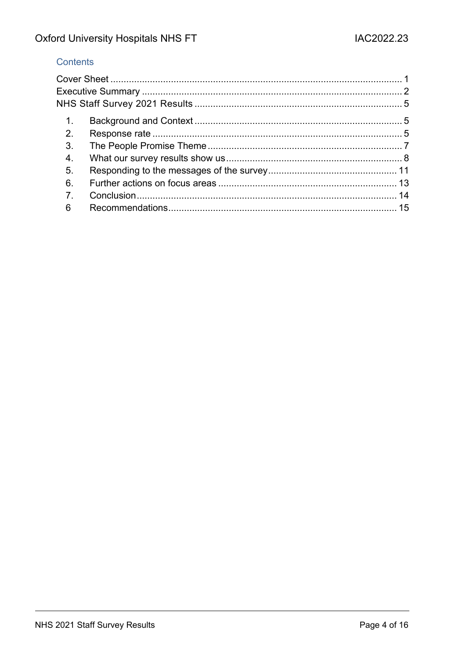## Contents

| $\mathbf{1}$ . |  |
|----------------|--|
| 2.             |  |
| 3.             |  |
| $\overline{4}$ |  |
| 5.             |  |
| 6              |  |
| $\overline{7}$ |  |
| 6              |  |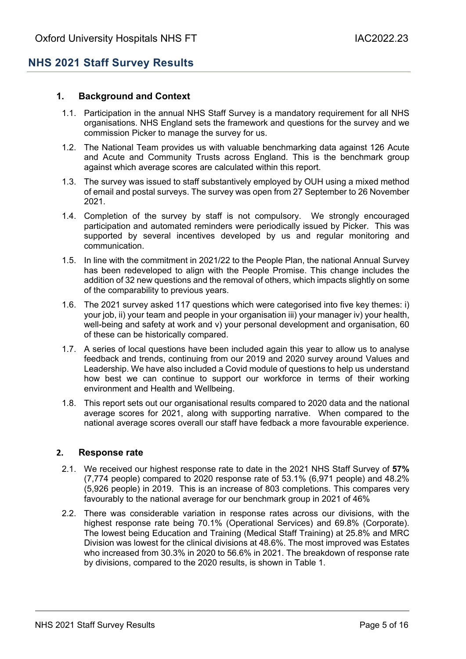# <span id="page-4-0"></span>**NHS 2021 Staff Survey Results**

### <span id="page-4-1"></span>**1. Background and Context**

- 1.1. Participation in the annual NHS Staff Survey is a mandatory requirement for all NHS organisations. NHS England sets the framework and questions for the survey and we commission Picker to manage the survey for us.
- 1.2. The National Team provides us with valuable benchmarking data against 126 Acute and Acute and Community Trusts across England. This is the benchmark group against which average scores are calculated within this report.
- 1.3. The survey was issued to staff substantively employed by OUH using a mixed method of email and postal surveys. The survey was open from 27 September to 26 November 2021.
- 1.4. Completion of the survey by staff is not compulsory. We strongly encouraged participation and automated reminders were periodically issued by Picker. This was supported by several incentives developed by us and regular monitoring and communication.
- 1.5. In line with the commitment in 2021/22 to the People Plan, the national Annual Survey has been redeveloped to align with the People Promise. This change includes the addition of 32 new questions and the removal of others, which impacts slightly on some of the comparability to previous years.
- 1.6. The 2021 survey asked 117 questions which were categorised into five key themes: i) your job, ii) your team and people in your organisation iii) your manager iv) your health, well-being and safety at work and v) your personal development and organisation, 60 of these can be historically compared.
- 1.7. A series of local questions have been included again this year to allow us to analyse feedback and trends, continuing from our 2019 and 2020 survey around Values and Leadership. We have also included a Covid module of questions to help us understand how best we can continue to support our workforce in terms of their working environment and Health and Wellbeing.
- 1.8. This report sets out our organisational results compared to 2020 data and the national average scores for 2021, along with supporting narrative. When compared to the national average scores overall our staff have fedback a more favourable experience.

#### <span id="page-4-2"></span>**2. Response rate**

- 2.1. We received our highest response rate to date in the 2021 NHS Staff Survey of **57%** (7,774 people) compared to 2020 response rate of 53.1% (6,971 people) and 48.2% (5,926 people) in 2019. This is an increase of 803 completions. This compares very favourably to the national average for our benchmark group in 2021 of 46%
- 2.2. There was considerable variation in response rates across our divisions, with the highest response rate being 70.1% (Operational Services) and 69.8% (Corporate). The lowest being Education and Training (Medical Staff Training) at 25.8% and MRC Division was lowest for the clinical divisions at 48.6%. The most improved was Estates who increased from 30.3% in 2020 to 56.6% in 2021. The breakdown of response rate by divisions, compared to the 2020 results, is shown in Table 1.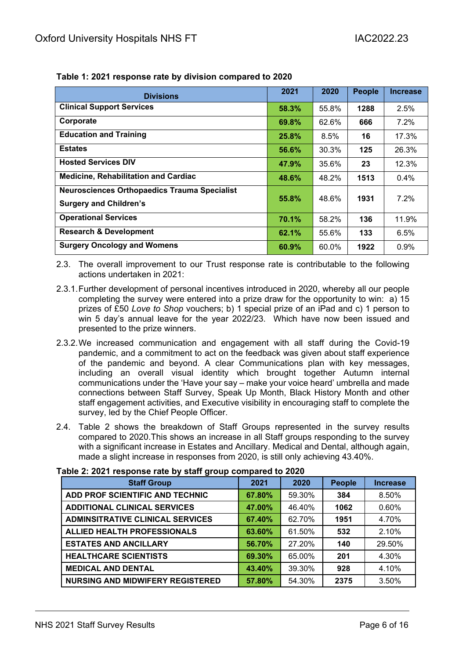| <b>Divisions</b>                                                                     | 2021  | 2020  | <b>People</b> | <b>Increase</b> |
|--------------------------------------------------------------------------------------|-------|-------|---------------|-----------------|
| <b>Clinical Support Services</b>                                                     | 58.3% | 55.8% | 1288          | 2.5%            |
| Corporate                                                                            | 69.8% | 62.6% | 666           | $7.2\%$         |
| <b>Education and Training</b>                                                        | 25.8% | 8.5%  | 16            | 17.3%           |
| <b>Estates</b>                                                                       | 56.6% | 30.3% | 125           | 26.3%           |
| <b>Hosted Services DIV</b>                                                           | 47.9% | 35.6% | 23            | 12.3%           |
| <b>Medicine, Rehabilitation and Cardiac</b>                                          | 48.6% | 48.2% | 1513          | $0.4\%$         |
| <b>Neurosciences Orthopaedics Trauma Specialist</b><br><b>Surgery and Children's</b> | 55.8% | 48.6% | 1931          | 7.2%            |
| <b>Operational Services</b>                                                          | 70.1% | 58.2% | 136           | 11.9%           |
| <b>Research &amp; Development</b>                                                    | 62.1% | 55.6% | 133           | 6.5%            |
| <b>Surgery Oncology and Womens</b>                                                   | 60.9% | 60.0% | 1922          | 0.9%            |

**Table 1: 2021 response rate by division compared to 2020**

2.3. The overall improvement to our Trust response rate is contributable to the following actions undertaken in 2021:

- 2.3.1.Further development of personal incentives introduced in 2020, whereby all our people completing the survey were entered into a prize draw for the opportunity to win: a) 15 prizes of £50 *Love to Shop* vouchers; b) 1 special prize of an iPad and c) 1 person to win 5 day's annual leave for the year 2022/23. Which have now been issued and presented to the prize winners.
- 2.3.2.We increased communication and engagement with all staff during the Covid-19 pandemic, and a commitment to act on the feedback was given about staff experience of the pandemic and beyond. A clear Communications plan with key messages, including an overall visual identity which brought together Autumn internal communications under the 'Have your say – make your voice heard' umbrella and made connections between Staff Survey, Speak Up Month, Black History Month and other staff engagement activities, and Executive visibility in encouraging staff to complete the survey, led by the Chief People Officer.
- 2.4. Table 2 shows the breakdown of Staff Groups represented in the survey results compared to 2020.This shows an increase in all Staff groups responding to the survey with a significant increase in Estates and Ancillary. Medical and Dental, although again, made a slight increase in responses from 2020, is still only achieving 43.40%.

| <b>Staff Group</b>                      | 2021   | 2020   | <b>People</b> | <b>Increase</b> |
|-----------------------------------------|--------|--------|---------------|-----------------|
| ADD PROF SCIENTIFIC AND TECHNIC         | 67.80% | 59.30% | 384           | 8.50%           |
| <b>ADDITIONAL CLINICAL SERVICES</b>     | 47.00% | 46.40% | 1062          | 0.60%           |
| <b>ADMINSITRATIVE CLINICAL SERVICES</b> | 67.40% | 62.70% | 1951          | 4.70%           |
| <b>ALLIED HEALTH PROFESSIONALS</b>      | 63.60% | 61.50% | 532           | 2.10%           |
| <b>ESTATES AND ANCILLARY</b>            | 56.70% | 27.20% | 140           | 29.50%          |
| <b>HEALTHCARE SCIENTISTS</b>            | 69.30% | 65.00% | 201           | 4.30%           |
| <b>MEDICAL AND DENTAL</b>               | 43.40% | 39.30% | 928           | 4.10%           |
| <b>NURSING AND MIDWIFERY REGISTERED</b> | 57.80% | 54.30% | 2375          | 3.50%           |

#### **Table 2: 2021 response rate by staff group compared to 2020**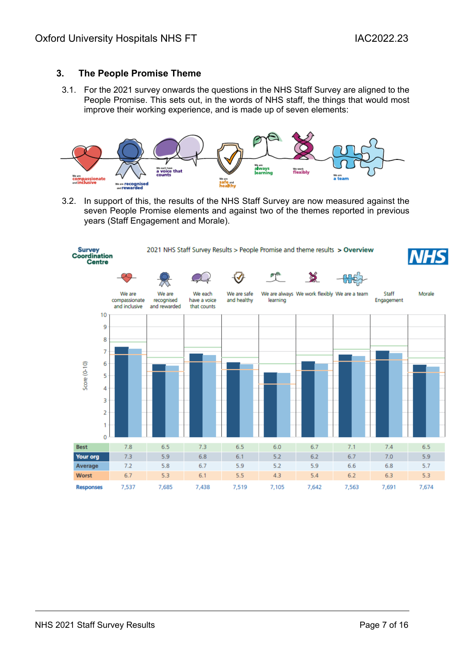### <span id="page-6-0"></span>**3. The People Promise Theme**

3.1. For the 2021 survey onwards the questions in the NHS Staff Survey are aligned to the People Promise. This sets out, in the words of NHS staff, the things that would most improve their working experience, and is made up of seven elements:



3.2. In support of this, the results of the NHS Staff Survey are now measured against the seven People Promise elements and against two of the themes reported in previous years (Staff Engagement and Morale).

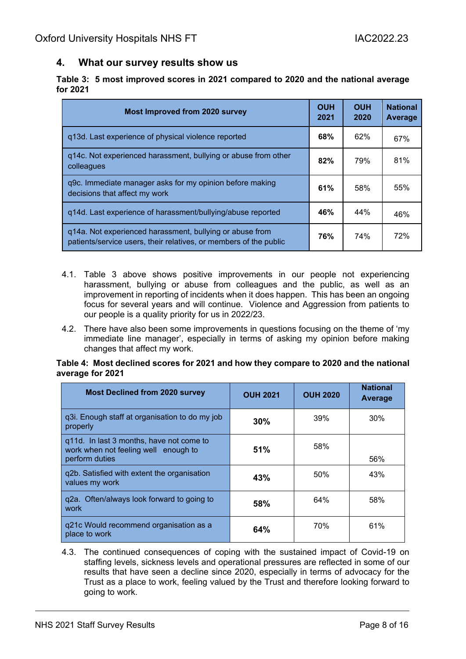### <span id="page-7-0"></span>**4. What our survey results show us**

|          | Table 3: 5 most improved scores in 2021 compared to 2020 and the national average |  |  |  |
|----------|-----------------------------------------------------------------------------------|--|--|--|
| for 2021 |                                                                                   |  |  |  |

| <b>Most Improved from 2020 survey</b>                                                                                         | <b>OUH</b><br>2021 | <b>OUH</b><br>2020 | <b>National</b><br><b>Average</b> |
|-------------------------------------------------------------------------------------------------------------------------------|--------------------|--------------------|-----------------------------------|
| q13d. Last experience of physical violence reported                                                                           | <b>68%</b>         | 62%                | 67%                               |
| g14c. Not experienced harassment, bullying or abuse from other<br>colleagues                                                  | 82%                | 79%                | 81%                               |
| q9c. Immediate manager asks for my opinion before making<br>decisions that affect my work                                     | 61%                | 58%                | 55%                               |
| q14d. Last experience of harassment/bullying/abuse reported                                                                   | 46%                | 44%                | 46%                               |
| q14a. Not experienced harassment, bullying or abuse from<br>patients/service users, their relatives, or members of the public | 76%                | 74%                | 72%                               |

- 4.1. Table 3 above shows positive improvements in our people not experiencing harassment, bullying or abuse from colleagues and the public, as well as an improvement in reporting of incidents when it does happen. This has been an ongoing focus for several years and will continue. Violence and Aggression from patients to our people is a quality priority for us in 2022/23.
- 4.2. There have also been some improvements in questions focusing on the theme of 'my immediate line manager', especially in terms of asking my opinion before making changes that affect my work.

#### **Table 4: Most declined scores for 2021 and how they compare to 2020 and the national average for 2021**

| <b>Most Declined from 2020 survey</b>                                                              | <b>OUH 2021</b> | <b>OUH 2020</b> | <b>National</b><br>Average |
|----------------------------------------------------------------------------------------------------|-----------------|-----------------|----------------------------|
| q3i. Enough staff at organisation to do my job<br>properly                                         | 30%             | 39%             | 30%                        |
| q11d. In last 3 months, have not come to<br>work when not feeling well enough to<br>perform duties | 51%             | 58%             | 56%                        |
| q2b. Satisfied with extent the organisation<br>values my work                                      | 43%             | 50%             | 43%                        |
| g2a. Often/always look forward to going to<br>work                                                 | 58%             | 64%             | 58%                        |
| g21c Would recommend organisation as a<br>place to work                                            | 64%             | 70%             | 61%                        |

4.3. The continued consequences of coping with the sustained impact of Covid-19 on staffing levels, sickness levels and operational pressures are reflected in some of our results that have seen a decline since 2020, especially in terms of advocacy for the Trust as a place to work, feeling valued by the Trust and therefore looking forward to going to work.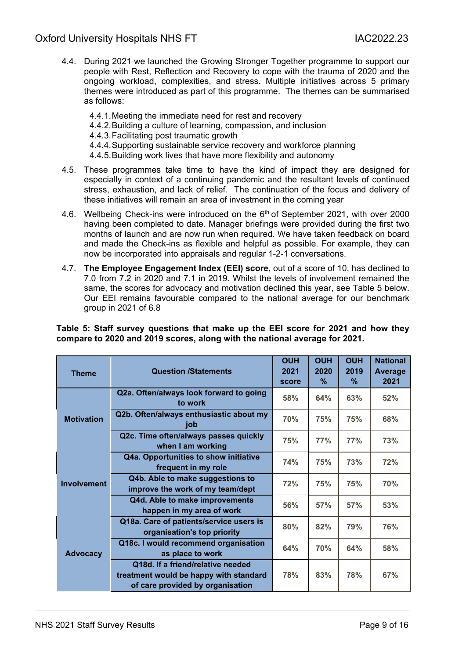- 4.4. During 2021 we launched the Growing Stronger Together programme to support our people with Rest, Reflection and Recovery to cope with the trauma of 2020 and the ongoing workload, complexities, and stress. Multiple initiatives across 5 primary themes were introduced as part of this programme. The themes can be summarised as follows:
	- 4.4.1.Meeting the immediate need for rest and recovery
	- 4.4.2.Building a culture of learning, compassion, and inclusion
	- 4.4.3.Facilitating post traumatic growth
	- 4.4.4.Supporting sustainable service recovery and workforce planning
	- 4.4.5.Building work lives that have more flexibility and autonomy
- 4.5. These programmes take time to have the kind of impact they are designed for especially in context of a continuing pandemic and the resultant levels of continued stress, exhaustion, and lack of relief. The continuation of the focus and delivery of these initiatives will remain an area of investment in the coming year
- 4.6. Wellbeing Check-ins were introduced on the 6<sup>th</sup> of September 2021, with over 2000 having been completed to date. Manager briefings were provided during the first two months of launch and are now run when required. We have taken feedback on board and made the Check-ins as flexible and helpful as possible. For example, they can now be incorporated into appraisals and regular 1-2-1 conversations.
- 4.7. **The Employee Engagement Index (EEI) score**, out of a score of 10, has declined to 7.0 from 7.2 in 2020 and 7.1 in 2019. Whilst the levels of involvement remained the same, the scores for advocacy and motivation declined this year, see Table 5 below. Our EEI remains favourable compared to the national average for our benchmark group in 2021 of 6.8

#### **Table 5: Staff survey questions that make up the EEI score for 2021 and how they compare to 2020 and 2019 scores, along with the national average for 2021.**

| <b>Theme</b>       | <b>Question /Statements</b>                                                                                     | <b>OUH</b><br>2021<br>score | <b>OUH</b><br>2020<br>$\frac{9}{6}$ | <b>OUH</b><br>2019<br>$\frac{9}{6}$ | <b>National</b><br>Average<br>2021 |
|--------------------|-----------------------------------------------------------------------------------------------------------------|-----------------------------|-------------------------------------|-------------------------------------|------------------------------------|
|                    | Q2a. Often/always look forward to going<br>to work                                                              | 58%                         | 64%                                 | 63%                                 | 52%                                |
| <b>Motivation</b>  | Q2b. Often/always enthusiastic about my<br>job                                                                  | <b>70%</b>                  | 75%                                 | 75%                                 | 68%                                |
|                    | Q2c. Time often/always passes quickly<br>when I am working                                                      | 75%                         | 77%                                 | 77%                                 | 73%                                |
|                    | Q4a. Opportunities to show initiative<br>frequent in my role                                                    | 74%                         | 75%                                 | 73%                                 | 72%                                |
| <b>Involvement</b> | Q4b. Able to make suggestions to<br>improve the work of my team/dept                                            | 72%                         | 75%                                 | <b>75%</b>                          | 70%                                |
|                    | Q4d. Able to make improvements<br>happen in my area of work                                                     | 56%                         | 57%                                 | 57%                                 | 53%                                |
|                    | Q18a. Care of patients/service users is<br>organisation's top priority                                          | 80%                         | 82%                                 | 79%                                 | 76%                                |
| <b>Advocacy</b>    | Q18c. I would recommend organisation<br>as place to work                                                        | 64%                         | <b>70%</b>                          | 64%                                 | 58%                                |
|                    | Q18d. If a friend/relative needed<br>treatment would be happy with standard<br>of care provided by organisation | 78%                         | 83%                                 | 78%                                 | 67%                                |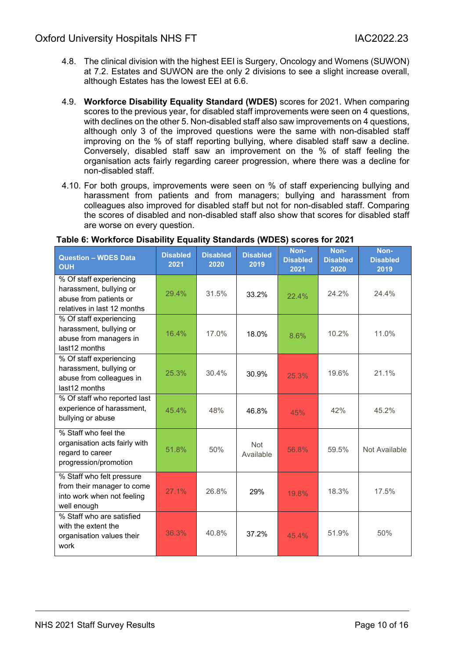- 4.8. The clinical division with the highest EEI is Surgery, Oncology and Womens (SUWON) at 7.2. Estates and SUWON are the only 2 divisions to see a slight increase overall, although Estates has the lowest EEI at 6.6.
- 4.9. **Workforce Disability Equality Standard (WDES)** scores for 2021. When comparing scores to the previous year, for disabled staff improvements were seen on 4 questions, with declines on the other 5. Non-disabled staff also saw improvements on 4 questions, although only 3 of the improved questions were the same with non-disabled staff improving on the % of staff reporting bullying, where disabled staff saw a decline. Conversely, disabled staff saw an improvement on the % of staff feeling the organisation acts fairly regarding career progression, where there was a decline for non-disabled staff.
- 4.10. For both groups, improvements were seen on % of staff experiencing bullying and harassment from patients and from managers; bullying and harassment from colleagues also improved for disabled staff but not for non-disabled staff. Comparing the scores of disabled and non-disabled staff also show that scores for disabled staff are worse on every question.

| <b>Question - WDES Data</b><br><b>OUH</b>                                                                   | <b>Disabled</b><br>2021 | <b>Disabled</b><br>2020 | <b>Disabled</b><br>2019 | Non-<br><b>Disabled</b><br>2021 | Non-<br><b>Disabled</b><br>2020 | Non-<br><b>Disabled</b><br>2019 |
|-------------------------------------------------------------------------------------------------------------|-------------------------|-------------------------|-------------------------|---------------------------------|---------------------------------|---------------------------------|
| % Of staff experiencing<br>harassment, bullying or<br>abuse from patients or<br>relatives in last 12 months | 29.4%                   | 31.5%                   | 33.2%                   | 22.4%                           | 24.2%                           | 24.4%                           |
| % Of staff experiencing<br>harassment, bullying or<br>abuse from managers in<br>last12 months               | 16.4%                   | 17.0%                   | 18.0%                   | 8.6%                            | 10.2%                           | 11.0%                           |
| % Of staff experiencing<br>harassment, bullying or<br>abuse from colleagues in<br>last12 months             | 25.3%                   | 30.4%                   | 30.9%                   | 25.3%                           | 19.6%                           | 21.1%                           |
| % Of staff who reported last<br>experience of harassment,<br>bullying or abuse                              | 45.4%                   | 48%                     | 46.8%                   | 45%                             | 42%                             | 45.2%                           |
| % Staff who feel the<br>organisation acts fairly with<br>regard to career<br>progression/promotion          | 51.8%                   | 50%                     | <b>Not</b><br>Available | 56.8%                           | 59.5%                           | Not Available                   |
| % Staff who felt pressure<br>from their manager to come<br>into work when not feeling<br>well enough        | 27.1%                   | 26.8%                   | 29%                     | 19.8%                           | 18.3%                           | 17.5%                           |
| % Staff who are satisfied<br>with the extent the<br>organisation values their<br>work                       | 36.3%                   | 40.8%                   | 37.2%                   | 45.4%                           | 51.9%                           | 50%                             |

#### **Table 6: Workforce Disability Equality Standards (WDES) scores for 2021**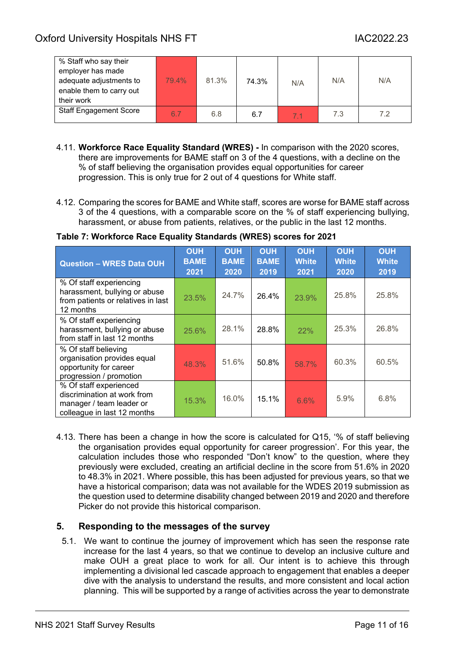| % Staff who say their<br>employer has made<br>adequate adjustments to<br>enable them to carry out<br>their work | 79.4% | 81.3% | 74.3% | N/A            | N/A | N/A |
|-----------------------------------------------------------------------------------------------------------------|-------|-------|-------|----------------|-----|-----|
| <b>Staff Engagement Score</b>                                                                                   | 6.7   | 6.8   | 6.7   | 7 <sub>1</sub> | 7.3 | 7.2 |

- 4.11. **Workforce Race Equality Standard (WRES) -** In comparison with the 2020 scores, there are improvements for BAME staff on 3 of the 4 questions, with a decline on the % of staff believing the organisation provides equal opportunities for career progression. This is only true for 2 out of 4 questions for White staff.
- 4.12. Comparing the scores for BAME and White staff, scores are worse for BAME staff across 3 of the 4 questions, with a comparable score on the % of staff experiencing bullying, harassment, or abuse from patients, relatives, or the public in the last 12 months.

| <b>Question - WRES Data OUH</b>                                                                                  | <b>OUH</b><br><b>BAME</b><br>2021 | <b>OUH</b><br><b>BAME</b><br>2020 | <b>OUH</b><br><b>BAME</b><br>2019 | <b>OUH</b><br><b>White</b><br>2021 | <b>OUH</b><br><b>White</b><br>2020 | <b>OUH</b><br><b>White</b><br>2019 |
|------------------------------------------------------------------------------------------------------------------|-----------------------------------|-----------------------------------|-----------------------------------|------------------------------------|------------------------------------|------------------------------------|
| % Of staff experiencing<br>harassment, bullying or abuse<br>from patients or relatives in last<br>12 months      | 23.5%                             | 24.7%                             | 26.4%                             | 23.9%                              | 25.8%                              | 25.8%                              |
| % Of staff experiencing<br>harassment, bullying or abuse<br>from staff in last 12 months                         | 25.6%                             | 28.1%                             | 28.8%                             | 22%                                | 25.3%                              | 26.8%                              |
| % Of staff believing<br>organisation provides equal<br>opportunity for career<br>progression / promotion         | 48.3%                             | 51.6%                             | 50.8%                             | 58.7%                              | 60.3%                              | 60.5%                              |
| % Of staff experienced<br>discrimination at work from<br>manager / team leader or<br>colleague in last 12 months | 15.3%                             | 16.0%                             | 15.1%                             | 6.6%                               | 5.9%                               | 6.8%                               |

### **Table 7: Workforce Race Equality Standards (WRES) scores for 2021**

4.13. There has been a change in how the score is calculated for Q15, '% of staff believing the organisation provides equal opportunity for career progression'. For this year, the calculation includes those who responded "Don't know" to the question, where they previously were excluded, creating an artificial decline in the score from 51.6% in 2020 to 48.3% in 2021. Where possible, this has been adjusted for previous years, so that we have a historical comparison; data was not available for the WDES 2019 submission as the question used to determine disability changed between 2019 and 2020 and therefore Picker do not provide this historical comparison.

### <span id="page-10-0"></span>**5. Responding to the messages of the survey**

5.1. We want to continue the journey of improvement which has seen the response rate increase for the last 4 years, so that we continue to develop an inclusive culture and make OUH a great place to work for all. Our intent is to achieve this through implementing a divisional led cascade approach to engagement that enables a deeper dive with the analysis to understand the results, and more consistent and local action planning. This will be supported by a range of activities across the year to demonstrate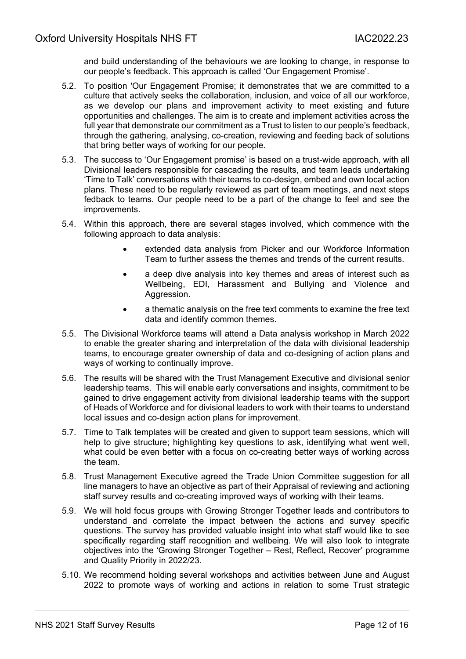and build understanding of the behaviours we are looking to change, in response to our people's feedback. This approach is called 'Our Engagement Promise'.

- 5.2. To position 'Our Engagement Promise; it demonstrates that we are committed to a culture that actively seeks the collaboration, inclusion, and voice of all our workforce, as we develop our plans and improvement activity to meet existing and future opportunities and challenges. The aim is to create and implement activities across the full year that demonstrate our commitment as a Trust to listen to our people's feedback, through the gathering, analysing, co-creation, reviewing and feeding back of solutions that bring better ways of working for our people.
- 5.3. The success to 'Our Engagement promise' is based on a trust-wide approach, with all Divisional leaders responsible for cascading the results, and team leads undertaking 'Time to Talk' conversations with their teams to co-design, embed and own local action plans. These need to be regularly reviewed as part of team meetings, and next steps fedback to teams. Our people need to be a part of the change to feel and see the improvements.
- 5.4. Within this approach, there are several stages involved, which commence with the following approach to data analysis:
	- extended data analysis from Picker and our Workforce Information Team to further assess the themes and trends of the current results.
	- a deep dive analysis into key themes and areas of interest such as Wellbeing, EDI, Harassment and Bullying and Violence and Aggression.
	- a thematic analysis on the free text comments to examine the free text data and identify common themes.
- 5.5. The Divisional Workforce teams will attend a Data analysis workshop in March 2022 to enable the greater sharing and interpretation of the data with divisional leadership teams, to encourage greater ownership of data and co-designing of action plans and ways of working to continually improve.
- 5.6. The results will be shared with the Trust Management Executive and divisional senior leadership teams. This will enable early conversations and insights, commitment to be gained to drive engagement activity from divisional leadership teams with the support of Heads of Workforce and for divisional leaders to work with their teams to understand local issues and co-design action plans for improvement.
- 5.7. Time to Talk templates will be created and given to support team sessions, which will help to give structure; highlighting key questions to ask, identifying what went well, what could be even better with a focus on co-creating better ways of working across the team.
- 5.8. Trust Management Executive agreed the Trade Union Committee suggestion for all line managers to have an objective as part of their Appraisal of reviewing and actioning staff survey results and co-creating improved ways of working with their teams.
- 5.9. We will hold focus groups with Growing Stronger Together leads and contributors to understand and correlate the impact between the actions and survey specific questions. The survey has provided valuable insight into what staff would like to see specifically regarding staff recognition and wellbeing. We will also look to integrate objectives into the 'Growing Stronger Together – Rest, Reflect, Recover' programme and Quality Priority in 2022/23.
- 5.10. We recommend holding several workshops and activities between June and August 2022 to promote ways of working and actions in relation to some Trust strategic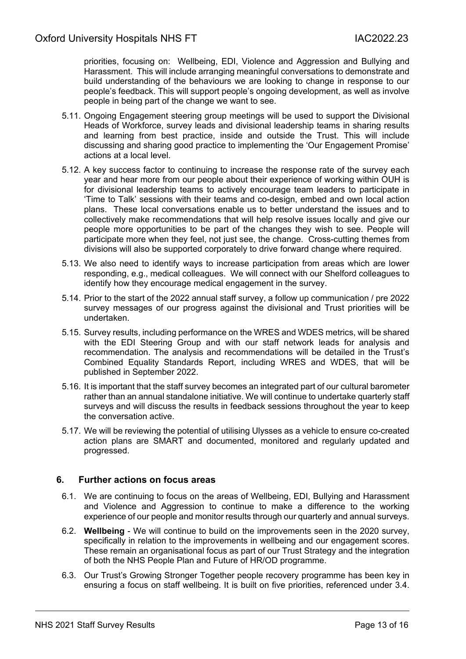priorities, focusing on: Wellbeing, EDI, Violence and Aggression and Bullying and Harassment. This will include arranging meaningful conversations to demonstrate and build understanding of the behaviours we are looking to change in response to our people's feedback. This will support people's ongoing development, as well as involve people in being part of the change we want to see.

- 5.11. Ongoing Engagement steering group meetings will be used to support the Divisional Heads of Workforce, survey leads and divisional leadership teams in sharing results and learning from best practice, inside and outside the Trust. This will include discussing and sharing good practice to implementing the 'Our Engagement Promise' actions at a local level.
- 5.12. A key success factor to continuing to increase the response rate of the survey each year and hear more from our people about their experience of working within OUH is for divisional leadership teams to actively encourage team leaders to participate in 'Time to Talk' sessions with their teams and co-design, embed and own local action plans. These local conversations enable us to better understand the issues and to collectively make recommendations that will help resolve issues locally and give our people more opportunities to be part of the changes they wish to see. People will participate more when they feel, not just see, the change. Cross-cutting themes from divisions will also be supported corporately to drive forward change where required.
- 5.13. We also need to identify ways to increase participation from areas which are lower responding, e.g., medical colleagues. We will connect with our Shelford colleagues to identify how they encourage medical engagement in the survey.
- 5.14. Prior to the start of the 2022 annual staff survey, a follow up communication / pre 2022 survey messages of our progress against the divisional and Trust priorities will be undertaken.
- 5.15. Survey results, including performance on the WRES and WDES metrics, will be shared with the EDI Steering Group and with our staff network leads for analysis and recommendation. The analysis and recommendations will be detailed in the Trust's Combined Equality Standards Report, including WRES and WDES, that will be published in September 2022.
- 5.16. It is important that the staff survey becomes an integrated part of our cultural barometer rather than an annual standalone initiative. We will continue to undertake quarterly staff surveys and will discuss the results in feedback sessions throughout the year to keep the conversation active.
- 5.17. We will be reviewing the potential of utilising Ulysses as a vehicle to ensure co-created action plans are SMART and documented, monitored and regularly updated and progressed.

### <span id="page-12-0"></span>**6. Further actions on focus areas**

- 6.1. We are continuing to focus on the areas of Wellbeing, EDI, Bullying and Harassment and Violence and Aggression to continue to make a difference to the working experience of our people and monitor results through our quarterly and annual surveys.
- 6.2. **Wellbeing** We will continue to build on the improvements seen in the 2020 survey, specifically in relation to the improvements in wellbeing and our engagement scores. These remain an organisational focus as part of our Trust Strategy and the integration of both the NHS People Plan and Future of HR/OD programme.
- 6.3. Our Trust's Growing Stronger Together people recovery programme has been key in ensuring a focus on staff wellbeing. It is built on five priorities, referenced under 3.4.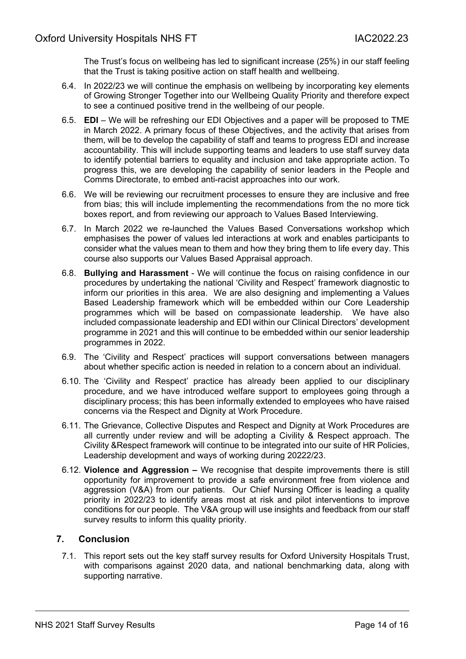The Trust's focus on wellbeing has led to significant increase (25%) in our staff feeling that the Trust is taking positive action on staff health and wellbeing.

- 6.4. In 2022/23 we will continue the emphasis on wellbeing by incorporating key elements of Growing Stronger Together into our Wellbeing Quality Priority and therefore expect to see a continued positive trend in the wellbeing of our people.
- 6.5. **EDI**  We will be refreshing our EDI Objectives and a paper will be proposed to TME in March 2022. A primary focus of these Objectives, and the activity that arises from them, will be to develop the capability of staff and teams to progress EDI and increase accountability. This will include supporting teams and leaders to use staff survey data to identify potential barriers to equality and inclusion and take appropriate action. To progress this, we are developing the capability of senior leaders in the People and Comms Directorate, to embed anti-racist approaches into our work.
- 6.6. We will be reviewing our recruitment processes to ensure they are inclusive and free from bias; this will include implementing the recommendations from the no more tick boxes report, and from reviewing our approach to Values Based Interviewing.
- 6.7. In March 2022 we re-launched the Values Based Conversations workshop which emphasises the power of values led interactions at work and enables participants to consider what the values mean to them and how they bring them to life every day. This course also supports our Values Based Appraisal approach.
- 6.8. **Bullying and Harassment** We will continue the focus on raising confidence in our procedures by undertaking the national 'Civility and Respect' framework diagnostic to inform our priorities in this area. We are also designing and implementing a Values Based Leadership framework which will be embedded within our Core Leadership programmes which will be based on compassionate leadership. We have also included compassionate leadership and EDI within our Clinical Directors' development programme in 2021 and this will continue to be embedded within our senior leadership programmes in 2022.
- 6.9. The 'Civility and Respect' practices will support conversations between managers about whether specific action is needed in relation to a concern about an individual.
- 6.10. The 'Civility and Respect' practice has already been applied to our disciplinary procedure, and we have introduced welfare support to employees going through a disciplinary process; this has been informally extended to employees who have raised concerns via the Respect and Dignity at Work Procedure.
- 6.11. The Grievance, Collective Disputes and Respect and Dignity at Work Procedures are all currently under review and will be adopting a Civility & Respect approach. The Civility &Respect framework will continue to be integrated into our suite of HR Policies, Leadership development and ways of working during 20222/23.
- 6.12. **Violence and Aggression –** We recognise that despite improvements there is still opportunity for improvement to provide a safe environment free from violence and aggression (V&A) from our patients. Our Chief Nursing Officer is leading a quality priority in 2022/23 to identify areas most at risk and pilot interventions to improve conditions for our people. The V&A group will use insights and feedback from our staff survey results to inform this quality priority.

### <span id="page-13-0"></span>**7. Conclusion**

7.1. This report sets out the key staff survey results for Oxford University Hospitals Trust, with comparisons against 2020 data, and national benchmarking data, along with supporting narrative.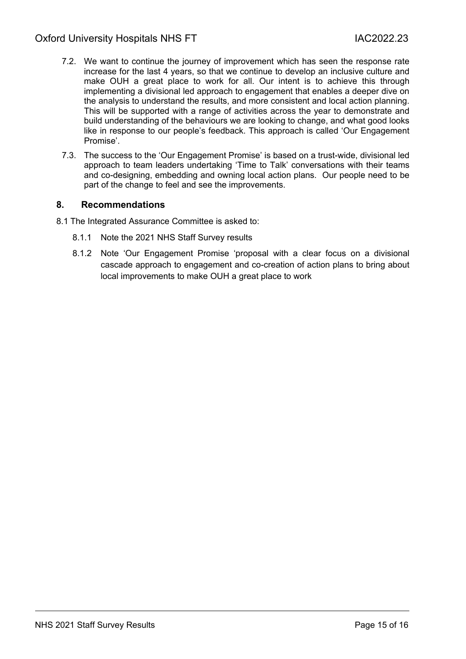### Oxford University Hospitals NHS FT **INCLOSE 14** IAC2022.23

- 7.2. We want to continue the journey of improvement which has seen the response rate increase for the last 4 years, so that we continue to develop an inclusive culture and make OUH a great place to work for all. Our intent is to achieve this through implementing a divisional led approach to engagement that enables a deeper dive on the analysis to understand the results, and more consistent and local action planning. This will be supported with a range of activities across the year to demonstrate and build understanding of the behaviours we are looking to change, and what good looks like in response to our people's feedback. This approach is called 'Our Engagement Promise'.
- 7.3. The success to the 'Our Engagement Promise' is based on a trust-wide, divisional led approach to team leaders undertaking 'Time to Talk' conversations with their teams and co-designing, embedding and owning local action plans. Our people need to be part of the change to feel and see the improvements.

### <span id="page-14-0"></span>**8. Recommendations**

- 8.1 The Integrated Assurance Committee is asked to:
	- 8.1.1 Note the 2021 NHS Staff Survey results
	- 8.1.2 Note 'Our Engagement Promise 'proposal with a clear focus on a divisional cascade approach to engagement and co-creation of action plans to bring about local improvements to make OUH a great place to work